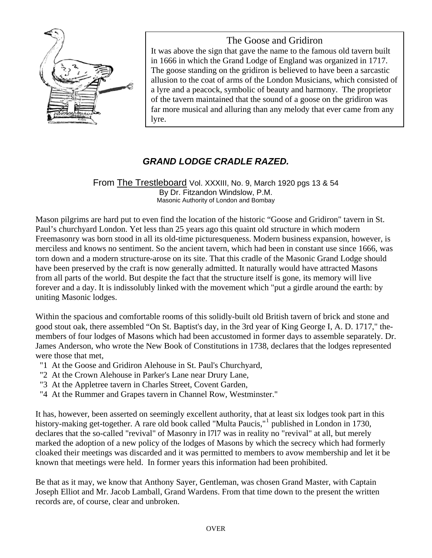

The Goose and Gridiron It was above the sign that gave the name to the famous old tavern built in 1666 in which the Grand Lodge of England was organized in 1717. The goose standing on the gridiron is believed to have been a sarcastic allusion to the coat of arms of the London Musicians, which consisted of

a lyre and a peacock, symbolic of beauty and harmony. The proprietor of the tavern maintained that the sound of a goose on the gridiron was far more musical and alluring than any melody that ever came from any lyre.

## *GRAND LODGE CRADLE RAZED.*

## From The Trestleboard Vol. XXXIII, No. 9, March 1920 pgs 13 & 54 By Dr. Fitzandon Windslow, P.M. Masonic Authority of London and Bombay

Mason pilgrims are hard put to even find the location of the historic "Goose and Gridiron" tavern in St. Paul's churchyard London. Yet less than 25 years ago this quaint old structure in which modern Freemasonry was born stood in all its old-time picturesqueness. Modern business expansion, however, is merciless and knows no sentiment. So the ancient tavern, which had been in constant use since 1666, was torn down and a modern structure-arose on its site. That this cradle of the Masonic Grand Lodge should have been preserved by the craft is now generally admitted. It naturally would have attracted Masons from all parts of the world. But despite the fact that the structure itself is gone, its memory will live forever and a day. It is indissolubly linked with the movement which "put a girdle around the earth: by uniting Masonic lodges.

Within the spacious and comfortable rooms of this solidly-built old British tavern of brick and stone and good stout oak, there assembled "On St. Baptist's day, in the 3rd year of King George I, A. D. 1717," themembers of four lodges of Masons which had been accustomed in former days to assemble separately. Dr. James Anderson, who wrote the New Book of Constitutions in 1738, declares that the lodges represented were those that met,

- "1 At the Goose and Gridiron Alehouse in St. Paul's Churchyard,
- "2 At the Crown Alehouse in Parker's Lane near Drury Lane,
- "3 At the Appletree tavern in Charles Street, Covent Garden,
- "4 At the Rummer and Grapes tavern in Channel Row, Westminster."

It has, however, been asserted on seemingly excellent authority, that at least six lodges took part in this history-making get-together. A rare old book called "Multa Paucis,"<sup>[1](#page-1-0)</sup> published in London in 1730, declares that the so-called "revival" of Masonry in l7l7 was in reality no "revival" at all, but merely marked the adoption of a new policy of the lodges of Masons by which the secrecy which had formerly cloaked their meetings was discarded and it was permitted to members to avow membership and let it be known that meetings were held. In former years this information had been prohibited.

Be that as it may, we know that Anthony Sayer, Gentleman, was chosen Grand Master, with Captain Joseph Elliot and Mr. Jacob Lamball, Grand Wardens. From that time down to the present the written records are, of course, clear and unbroken.